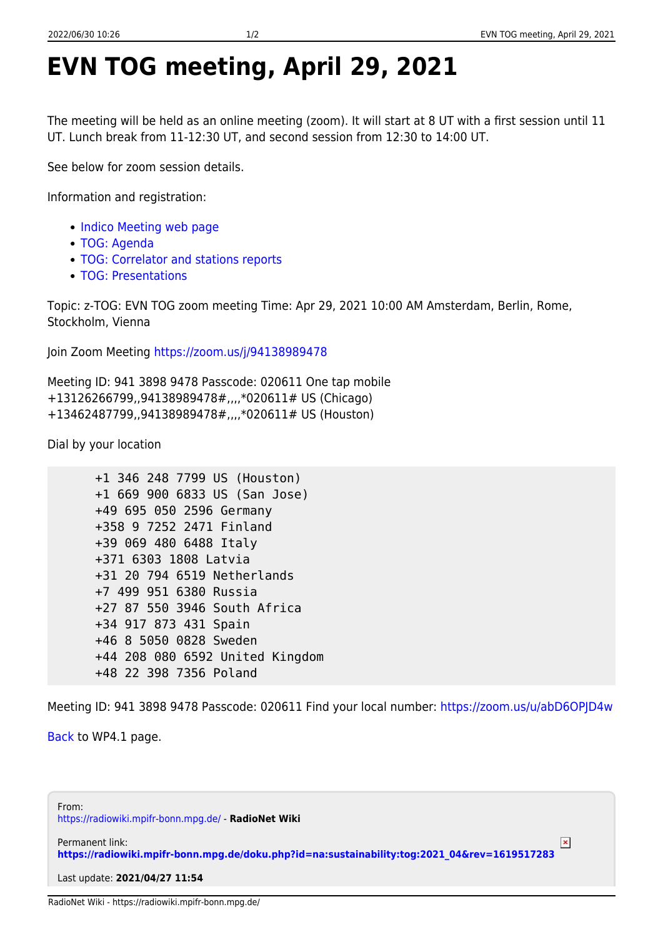## **EVN TOG meeting, April 29, 2021**

The meeting will be held as an online meeting (zoom). It will start at 8 UT with a first session until 11 UT. Lunch break from 11-12:30 UT, and second session from 12:30 to 14:00 UT.

See below for zoom session details.

Information and registration:

- [Indico Meeting web page](https://events.mpifr-bonn.mpg.de/indico/event/188/)
- [TOG: Agenda](https://radiowiki.mpifr-bonn.mpg.de/doku.php?id=na:sustainability:tog:2021_04:tog-agenda-2021-04)
- [TOG: Correlator and stations reports](https://radiowiki.mpifr-bonn.mpg.de/doku.php?id=na:sustainability:tog:2021_04:stations-reports-2021-04)
- [TOG: Presentations](https://radiowiki.mpifr-bonn.mpg.de/doku.php?id=na:sustainability:tog:2021_04:tog-presentations-2021-04)

Topic: z-TOG: EVN TOG zoom meeting Time: Apr 29, 2021 10:00 AM Amsterdam, Berlin, Rome, Stockholm, Vienna

Join Zoom Meeting<https://zoom.us/j/94138989478>

Meeting ID: 941 3898 9478 Passcode: 020611 One tap mobile +13126266799,,94138989478#,,,,\*020611# US (Chicago) +13462487799,,94138989478#,,,,\*020611# US (Houston)

Dial by your location

```
 +1 346 248 7799 US (Houston)
+1 669 900 6833 US (San Jose)
+49 695 050 2596 Germany
+358 9 7252 2471 Finland
+39 069 480 6488 Italy
+371 6303 1808 Latvia
+31 20 794 6519 Netherlands
+7 499 951 6380 Russia
+27 87 550 3946 South Africa
+34 917 873 431 Spain
+46 8 5050 0828 Sweden
+44 208 080 6592 United Kingdom
+48 22 398 7356 Poland
```
Meeting ID: 941 3898 9478 Passcode: 020611 Find your local number: <https://zoom.us/u/abD6OPJD4w>

[Back](https://radiowiki.mpifr-bonn.mpg.de/doku.php?id=na:sustainability:tog) to WP4.1 page.

From: <https://radiowiki.mpifr-bonn.mpg.de/> - **RadioNet Wiki**

Permanent link:  $\pmb{\times}$ **[https://radiowiki.mpifr-bonn.mpg.de/doku.php?id=na:sustainability:tog:2021\\_04&rev=1619517283](https://radiowiki.mpifr-bonn.mpg.de/doku.php?id=na:sustainability:tog:2021_04&rev=1619517283)**

Last update: **2021/04/27 11:54**